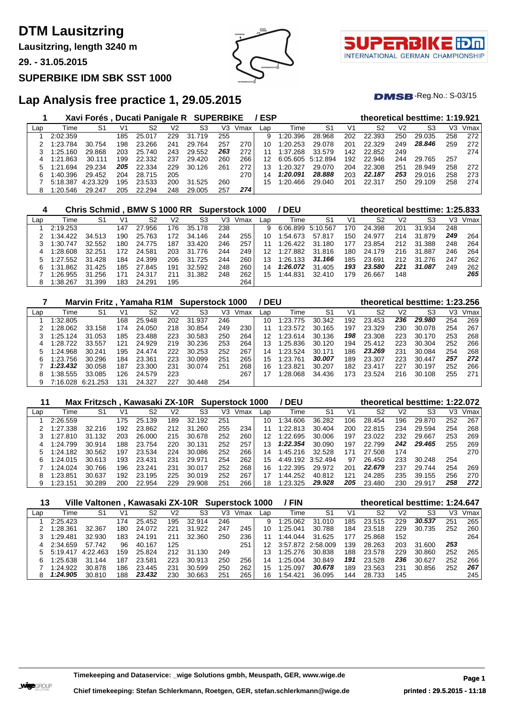**Lausitzring, length 3240 m**

**29. - 31.05.2015**

#### **SUPERBIKE IDM SBK SST 1000**





 $DMSB$ -Reg.No.:  $S-03/15$ 

## **Lap Analysis free practice 1, 29.05.2015**

|     |          | Xavi Forés, Ducati Panigale R SUPERBIKE |     |        |     |        |     |      | /ESP |                   |        |     | theoretical besttime: 1:19.921 |     |        |     |      |
|-----|----------|-----------------------------------------|-----|--------|-----|--------|-----|------|------|-------------------|--------|-----|--------------------------------|-----|--------|-----|------|
| Lap | Time     | S1                                      | V1  | S2     | V2  | S3     | VЗ  | Vmax | Lap  | Time              | -S1    | V1  | S2                             | V2  | S3     | VЗ  | Vmax |
|     | 2:02.359 |                                         | 185 | 25.017 | 229 | 31.719 | 255 |      | 9    | 1:20.396          | 28.968 | 202 | 22.393                         | 250 | 29.035 | 258 | 272  |
|     | 1:23.784 | 30.754                                  | 198 | 23.266 | 241 | 29.764 | 257 | 270  | 10   | 1:20.253          | 29.078 | 201 | 22.329                         | 249 | 28.846 | 259 | 272  |
|     | 1:25.160 | 29.868                                  | 203 | 25.740 | 243 | 29.552 | 263 | 272  | 11   | 1:37.268          | 33.579 | 142 | 22.852                         | 249 |        |     | 274  |
| 4   | 1:21.863 | 30.111                                  | 199 | 22.332 | 237 | 29.420 | 260 | 266  | 12   | 6:05.605 5:12.894 |        | 192 | 22.946                         | 244 | 29.765 | 257 |      |
|     | 1:21.694 | 29.234                                  | 205 | 22.334 | 229 | 30.126 | 261 | 272  | 13   | 1:20.327          | 29.070 | 204 | 22.308                         | 251 | 28.949 | 258 | 272  |
| 6   | 1:40.396 | 29.452                                  | 204 | 28.715 | 205 |        |     | 270  | 14   | 1:20.091          | 28.888 | 203 | 22.187                         | 253 | 29.016 | 258 | 273  |
|     | 5:18.387 | 4:23.329                                | 195 | 23.533 | 200 | 31.525 | 260 |      | 15   | 1:20.466          | 29.040 | 201 | 22.317                         | 250 | 29.109 | 258 | 274  |
| 8   | 1:20.546 | 29.247                                  | 205 | 22.294 | 248 | 29.005 | 257 | 274  |      |                   |        |     |                                |     |        |     |      |

| 4   |          | Chris Schmid , BMW S 1000 RR |     |        |     |             |     | <b>Superstock 1000</b> |     | <b>DEU</b> |          |     | theoretical besttime: 1:25.833 |     |        |     |      |
|-----|----------|------------------------------|-----|--------|-----|-------------|-----|------------------------|-----|------------|----------|-----|--------------------------------|-----|--------|-----|------|
| Lap | Time     | S1                           | V1  | S2     | V2  | S3          | V3  | Vmax                   | Lap | Time       | -S1      | V1  | S2                             | V2  | S3     | VЗ  | Vmax |
|     | 2:19.253 |                              | 147 | 27.956 | 176 | 35.<br>.178 | 238 |                        | 9   | 6:06.899   | 5:10.567 | 170 | 24.398                         | 201 | 31.934 | 248 |      |
|     | 1:34.422 | 34.513                       | 190 | 25.763 | 172 | 34.<br>.146 | 244 | 255                    | 10  | 1:54.673   | 57.817   | 150 | 24.977                         | 214 | 31.879 | 249 | 264  |
|     | 1:30.747 | 32.552                       | 180 | 24.775 | 187 | 33.420      | 246 | 257                    |     | 1:26.422   | 31.180   | 177 | 23.854                         | 212 | 31.388 | 248 | 264  |
| 4   | 1:28.608 | 32.251                       | 172 | 24.581 | 203 | 31.776      | 244 | 249                    | 12  | 1:27.882   | 31.816   | 180 | 24.179                         | 216 | 31.887 | 246 | 264  |
|     | 1.27552  | 31.428                       | 184 | 24.399 | 206 | 31.<br>.725 | 244 | 260                    | 13  | 1:26.133   | 31.166   | 185 | 23.691                         | 212 | 31.276 | 247 | 262  |
| 6.  | 1:31.862 | 31.425                       | 185 | 27.845 | 191 | 32.592      | 248 | 260                    | 14  | 1:26.072   | 31.405   | 193 | 23,580                         | 221 | 31.087 | 249 | 262  |
|     | 1:26.955 | 31.256                       | 171 | 24.317 | 211 | 31<br>.382  | 248 | 262                    | 15  | 1:44.831   | 32.410   | 179 | 26.667                         | 148 |        |     | 265  |
|     | 1:38.267 | 31.399                       | 183 | 24.291 | 195 |             |     | 264                    |     |            |          |     |                                |     |        |     |      |

|     |          | Marvin Fritz, Yamaha R1M Superstock 1000 |     |        |     |        |     |      | / DEU |          |                |     |        |     | theoretical besttime: 1:23.256 |     |      |
|-----|----------|------------------------------------------|-----|--------|-----|--------|-----|------|-------|----------|----------------|-----|--------|-----|--------------------------------|-----|------|
| Lap | Time     | S1                                       | V1  | S2     | V2  | S3     | V3  | Vmax | Lap   | Time     | S <sub>1</sub> | V1  | S2     | V2  | S3                             | VЗ  | Vmax |
|     | 1:32.805 |                                          | 168 | 25.948 | 202 | 31.937 | 246 |      | 10    | 1:23.775 | 30.342         | 192 | 23.453 | 236 | 29,980                         | 254 | 269  |
|     | 1:28.062 | 33.158                                   | 174 | 24.050 | 218 | 30.854 | 249 | 230  | 11    | 1:23.572 | 30.165         | 197 | 23.329 | 230 | 30.078                         | 254 | 267  |
|     | 1:25.124 | 31.053                                   | 185 | 23.488 | 223 | 30.583 | 250 | 264  | 12    | 1:23.614 | 30.136         | 198 | 23.308 | 223 | 30.170                         | 253 | 268  |
| 4   | 1:28.722 | 33.557                                   | 121 | 24.929 | 219 | 30.236 | 253 | 264  | 13    | 1:25.836 | 30.120         | 194 | 25.412 | 223 | 30.304                         | 252 | 266  |
| 5   | 1:24.968 | 30.241                                   | 195 | 24.474 | 222 | 30.253 | 252 | 267  | 14    | 1:23.524 | 30.171         | 186 | 23.269 | 231 | 30.084                         | 254 | 268  |
| 6   | 1:23.756 | 30.296                                   | 184 | 23.361 | 223 | 30.099 | 251 | 265  | 15    | 1:23.761 | 30.007         | 189 | 23.307 | 223 | 30.447                         | 257 | 272  |
|     | 1:23.432 | 30.058                                   | 187 | 23.300 | 231 | 30.074 | 251 | 268  | 16    | 1:23.821 | 30.207         | 182 | 23.417 | 227 | 30.197                         | 252 | 266  |
|     | 1:38.555 | 33.085                                   | 126 | 24.579 | 223 |        |     | 267  |       | 1:28.068 | 34.436         | 173 | 23.524 | 216 | 30.108                         | 255 | 271  |
|     | 7:16.028 | .253<br>6:21                             | 131 | 24.327 | 227 | 30.448 | 254 |      |       |          |                |     |        |     |                                |     |      |

| 11  |          | Max Fritzsch, Kawasaki ZX-10R |     |        |     |            |     | <b>Superstock 1000</b> |                 | <b>DEU</b> |                   |     |        |     | theoretical besttime: 1:22.072 |     |      |
|-----|----------|-------------------------------|-----|--------|-----|------------|-----|------------------------|-----------------|------------|-------------------|-----|--------|-----|--------------------------------|-----|------|
| Lap | Time     | S1                            | V1  | S2     | V2  | S3         | V3  | Vmax                   | Lap             | Time       | S1                | V1  | S2     | V2  | S3                             | VЗ  | Vmax |
|     | 2:26.559 |                               | 175 | 25.139 | 189 | 32.<br>192 | 251 |                        | 10              | 1:34.606   | 36.282            | 106 | 28.454 | 196 | 29.870                         | 252 | 267  |
|     | 1:27.338 | 32.216                        | 192 | 23.862 | 212 | 31<br>.260 | 255 | 234                    | 11              | 1:22.813   | 30.404            | 200 | 22.815 | 234 | 29.594                         | 254 | 268  |
|     | 1810     | 31.132                        | 203 | 26.000 | 215 | 30.678     | 252 | 260                    | 12              | 1:22.695   | 30.006            | 197 | 23.022 | 232 | 29.667                         | 253 | 269  |
| 4   | 1:24.799 | 30.914                        | 188 | 23.754 | 220 | 30.<br>131 | 252 | 257                    | 13              | 1:22.354   | 30.090            | 197 | 22.799 | 242 | 29.465                         | 255 | 269  |
|     | 1:24.182 | 30.562                        | 197 | 23.534 | 224 | 30.086     | 252 | 266                    | 14              | 1:45.216   | 32.528            | 171 | 27.508 | 174 |                                |     | 270  |
| հ   | 1:24.015 | 30.613                        | 193 | 23.431 | 231 | 29.971     | 254 | 262                    | 15 <sub>1</sub> |            | 4:49.192 3:52.494 | 97  | 26.450 | 233 | 30.248                         | 254 |      |
|     | 1:24.024 | 30.766                        | 196 | 23.241 | 231 | 30.017     | 252 | 268                    | 16              | 1:22.395   | 29.972            | 201 | 22.679 | 237 | 29.744                         | 254 | 269  |
|     | 1:23.851 | 30.637                        | 192 | 23.195 | 225 | 30.019     | 252 | 267                    |                 | 1:44.252   | 40.812            | 121 | 24.285 | 235 | 39.155                         | 256 | 270  |
|     | 1:23.151 | 30.289                        | 200 | 22.954 | 229 | 29.908     | 251 | 266                    | 18              | 1:23.325   | 29.928            | 205 | 23.480 | 230 | 29.917                         | 258 | 272  |

| 13  |          | Ville Valtonen, Kawasaki ZX-10R Superstock 1000 |     |        |     |        |     |      |     | <b>FIN</b> |          |     | theoretical besttime: 1:24.647 |                |        |     |      |
|-----|----------|-------------------------------------------------|-----|--------|-----|--------|-----|------|-----|------------|----------|-----|--------------------------------|----------------|--------|-----|------|
| Lap | Time     | S1                                              | V1  | S2     | V2  | S3     | V3  | Vmax | Lap | Time       | S1       | V1  | S2                             | V <sub>2</sub> | S3     | V3  | Vmax |
|     | 2:25.423 |                                                 | 174 | 25.452 | 195 | 32.914 | 246 |      | 9   | 1:25.062   | 31.010   | 185 | 23.515                         | 229            | 30.537 | 251 | 265  |
|     | 1:28.361 | 32.367                                          | 180 | 24.072 | 221 | 31.922 | 247 | 245  | 10. | 1:25.041   | 30.788   | 184 | 23.518                         | 229            | 30.735 | 252 | 260  |
|     | 1:29.481 | 32.930                                          | 183 | 24.191 | 21' | 32.360 | 250 | 236  |     | 1:44.044   | 31.625   | 177 | 25.868                         | 152            |        |     | 264  |
| 4   | 2:34.659 | 57.742                                          | 96  | 40.167 | 125 |        |     | 251  |     | 3:57.872   | 2:58.009 | 139 | 28.263                         | 203            | 31.600 | 253 |      |
|     | 5:19.417 | 4:22.463                                        | 159 | 25.824 | 212 | 31.130 | 249 |      | 13  | 1:25.276   | 30.838   | 188 | 23.578                         | 229            | 30.860 | 252 | 265  |
| 6   | :25.638  | 31<br>.144                                      | 187 | 23.581 | 223 | 30.913 | 250 | 256  | 14  | 1:25.004   | 30.849   | 191 | 23.528                         | 236            | 30.627 | 252 | 266  |
|     | 1:24.922 | 30.878                                          | 186 | 23.445 | 231 | 30.599 | 250 | 262  | 15  | 1:25.097   | 30.678   | 189 | 23.563                         | 231            | 30.856 | 252 | 267  |
| 8   | 1:24.905 | 30.810                                          | 188 | 23.432 | 230 | 30.663 | 251 | 265  | 16  | 1:54.421   | 36.095   | 144 | 28.733                         | 145            |        |     | 245  |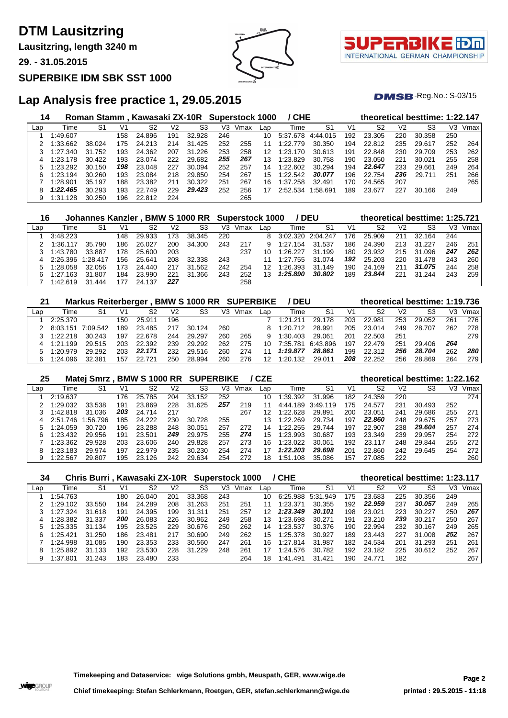**Lausitzring, length 3240 m**

**29. - 31.05.2015**

#### **SUPERBIKE IDM SBK SST 1000**





 $DMSB$ -Reg.No.:  $S-03/15$ 

## **Lap Analysis free practice 1, 29.05.2015**

| 14  |               |            |     | Roman Stamm, Kawasaki ZX-10R Superstock 1000 |     |            |     |      |     | / CHE    |          |     |        |                | theoretical besttime: 1:22.147 |     |      |
|-----|---------------|------------|-----|----------------------------------------------|-----|------------|-----|------|-----|----------|----------|-----|--------|----------------|--------------------------------|-----|------|
| Lap | Time          | S1         | V1  | S2                                           | V2  | S3         | V3  | Vmax | Lap | Time     | S1       | V1  | S2     | V <sub>2</sub> | S3                             | V3  | Vmax |
|     | 1:49.607      |            | 158 | 24.896                                       | 191 | 32.928     | 246 |      | 10  | 5:37.678 | 4:44.015 | 192 | 23.305 | 220            | 30.358                         | 250 |      |
|     | :33.662       | 38.024     | 175 | 24.213                                       | 214 | 31.425     | 252 | 255  | 11  | 1:22.779 | 30.350   | 194 | 22.812 | 235            | 29.617                         | 252 | 264  |
|     | 1:27.340      | 31<br>.752 | 193 | 24.362                                       | 207 | .226<br>31 | 253 | 258  | 12  | 1:23.170 | 30.613   | 191 | 22.848 | 230            | 29.709                         | 253 | 262  |
| 4   | 1:23.178      | 30.422     | 193 | 23.074                                       | 222 | 29.682     | 255 | 267  | 13  | 1:23.829 | 30.758   | 190 | 23.050 | 221            | 30.021                         | 255 | 258  |
| 5   | 1:23.292      | 30.150     | 198 | 23.048                                       | 227 | 30.094     | 252 | 257  | 14  | 1:22.602 | 30.294   | 194 | 22.647 | 233            | 29.661                         | 249 | 264  |
| 6   | 1:23.194      | 30.260     | 193 | 23.084                                       | 218 | 29.850     | 254 | 267  | 15  | 1:22.542 | 30.077   | 196 | 22.754 | 236            | 29.711                         | 251 | 266  |
|     | 1:28.901      | 35.197     | 188 | 23.382                                       | 211 | 30.322     | 251 | 267  | 16  | 1:37.258 | 32.491   | 170 | 24.565 | 207            |                                |     | 265  |
| 8   | 1:22.465      | 30.293     | 193 | 22.749                                       | 229 | 29.423     | 252 | 256  |     | 2:52.534 | :58.691  | 189 | 23.677 | 227            | 30.166                         | 249 |      |
| 9   | .128<br>l:31. | 30.250     | 196 | 22.812                                       | 224 |            |     | 265  |     |          |          |     |        |                |                                |     |      |

| 16  |          | Johannes Kanzler, BMW S 1000 RR Superstock 1000 |      |        |     |        |     |      |     |                   | / DEU  |     | theoretical besttime: 1:25.721 |     |        |     |      |
|-----|----------|-------------------------------------------------|------|--------|-----|--------|-----|------|-----|-------------------|--------|-----|--------------------------------|-----|--------|-----|------|
| Lap | Time     | S1                                              | V1   | S2     | V2  | S3     | V3. | Vmax | Lap | Time              | -S1    | V1  | S2                             | V2  | S3     | V3  | Vmax |
|     | 3:48.223 |                                                 | 148  | 29.933 | 173 | 38.345 | 220 |      | 8   | 3:02.320 2:04.247 |        | 176 | 25.909                         | 211 | 32.164 | 244 |      |
|     | 1:36.117 | 35.790                                          | 186  | 26.027 | 200 | 34.300 | 243 | 217  |     | 1:27.154          | 31.537 | 186 | 24.390                         | 213 | 31.227 | 246 | 251  |
|     | 1:43.780 | 33.887                                          | 178  | 25.600 | 203 |        |     | 237  | 10  | 1:26.227          | 31.199 | 180 | 23.932                         | 215 | 31.096 | 247 | 262  |
|     | 2:26.396 | 1:28.417                                        | 156. | 25.641 | 208 | 32.338 | 243 |      |     | 1:27.755          | 31.074 | 192 | 25.203                         | 220 | 31.478 | 243 | 260  |
| 5   | 1:28.058 | 32.056                                          | 173  | 24.440 | 217 | 31.562 | 242 | 254  | 12  | 1:26.393          | 31.149 | 190 | 24.169                         | 211 | 31.075 | 244 | 258  |
| 6   | 1:27.163 | 31.807                                          | 184  | 23.990 | 221 | 31.366 | 243 | 252  | 13  | 1:25.890          | 30.802 | 189 | 23.844                         | 221 | 31.244 | 243 | 259  |
|     | 1:42.619 | 31.444                                          | 177  | 24.137 | 227 |        |     | 258  |     |                   |        |     |                                |     |        |     |      |

| 21  |              | Markus Reiterberger, |     |        |     | <b>BMW S 1000 RR SUPERBIKE</b> |     |      |     | / DEU    |          |     | theoretical besttime: 1:19.736 |                |        |     |      |
|-----|--------------|----------------------|-----|--------|-----|--------------------------------|-----|------|-----|----------|----------|-----|--------------------------------|----------------|--------|-----|------|
| Lap | Time         | S1                   | V1  | S2     | V2  | S3                             | V3  | Vmax | Lap | Гіmе     | S1       | V1  | S2                             | V <sub>2</sub> | S3     | VЗ  | Vmax |
|     | 2:25.370     |                      | 150 | 25.911 | 196 |                                |     |      |     | 1:21.211 | 29.178   | 203 | 22.981                         | 253            | 29.052 | 261 | 276  |
|     | 8:03.151     | 7:09.542             | 189 | 23.485 | 217 | 30.<br>124                     | 260 |      |     | 1:20.712 | 28.991   | 205 | 23.014                         | 249            | 28.707 | 262 | 278  |
|     | 1:22.218     | 30.243               | 197 | 22.678 | 244 | 29.297                         | 260 | 265  |     | 1:30.403 | 29.061   | 201 | 22.503                         | 251            |        |     | 279  |
|     | .199<br>1.21 | 29.515               | 203 | 22.392 | 239 | 29.292                         | 262 | 275  | 10. | 7:35.781 | 6:43.896 | 197 | 22.479                         | 251            | 29.406 | 264 |      |
|     | 1:20.979     | 29.292               | 203 | 22.171 | 232 | 29.516                         | 260 | 274  |     | 1:19.877 | 28.861   | 199 | 22.312                         | 256            | 28.704 | 262 | 280  |
|     | 1:24.096     | 32.381               | 157 | 22.721 | 250 | 28.994                         | 260 | 276  |     | 1:20.132 | 29.011   | 208 | 22.252                         | 256            | 28.869 | 264 | 279  |

| 25  |          | Matej Smrz |     | <b>BMW S 1000 RR</b> |     | <b>SUPERBIKE</b> |     |      | / CZE |             |          |     | theoretical besttime: 1:22.162 |     |        |     |      |
|-----|----------|------------|-----|----------------------|-----|------------------|-----|------|-------|-------------|----------|-----|--------------------------------|-----|--------|-----|------|
| Lap | Time     | S1         | V1  | S2                   | V2  | S3               | V3  | Vmax | Lap   | Time        | S1       | V1  | S2                             | V2  | S3     | V3  | Vmax |
|     | 2:19.637 |            | 176 | 25.785               | 204 | 33.152           | 252 |      | 10    | 1:39.392    | 31.996   | 182 | 24.359                         | 220 |        |     | 274  |
|     | 1:29.032 | 33.538     | 191 | 23.869               | 228 | 31<br>.625       | 257 | 219  |       | 4:44.189    | 3:49.119 | 175 | 24.577                         | 231 | 30.493 | 252 |      |
|     | 1:42.818 | 31.036     | 203 | 24.714               | 217 |                  |     | 267  |       | 1:22.628    | 29.891   | 200 | 23.051                         | 241 | 29.686 | 255 | 271  |
| 4   | 2:51.746 | :56.796    | 185 | 24.222               | 230 | 30.<br>.728      | 255 |      | 13    | 1:22.269    | 29.734   | 197 | 22.860                         | 248 | 29.675 | 257 | 273  |
|     | 1:24.059 | 30.720     | 196 | 23.288               | 248 | 30.051           | 257 | 272  | 14    | 1:22.255    | 29.744   | 197 | 22.907                         | 238 | 29.604 | 257 | 274  |
| 6.  | 1:23.432 | 29.956     | 191 | 23.501               | 249 | 29.975           | 255 | 274  | 15    | 1:23.993    | 30.687   | 193 | 23.349                         | 239 | 29.957 | 254 | 272  |
|     | 1:23.362 | 29.928     | 203 | 23.606               | 240 | 29.828           | 257 | 273  | 16    | 1:23.022    | 30.061   | 192 | 23.117                         | 248 | 29.844 | 255 | 272  |
| 8   | 1:23.183 | 29.974     | 197 | 22.979               | 235 | 30.230           | 254 | 274  | 17    | 1:22.203    | 29.698   | 201 | 22.860                         | 242 | 29.645 | 254 | 272  |
|     | 1:22.567 | 29.807     | 195 | 23.126               | 242 | 29.634           | 254 | 272  | 18    | :51<br>.108 | 35.086   | 157 | 27.085                         | 222 |        |     | 260  |

| 34  |          | Chris Burri, Kawasaki ZX-10R Superstock 1000 |     |        |     |                |     |      |     | / CHE       |                |     | theoretical besttime: 1:23.117 |     |        |     |      |
|-----|----------|----------------------------------------------|-----|--------|-----|----------------|-----|------|-----|-------------|----------------|-----|--------------------------------|-----|--------|-----|------|
| Lap | Time     | S1                                           | V1  | S2     | V2  | S <sub>3</sub> | V3  | Vmax | Lap | Time        | S <sub>1</sub> | V1  | S2                             | V2  | S3     | VЗ  | Vmax |
|     | 1:54.763 |                                              | 180 | 26.040 | 201 | 33.368         | 243 |      | 10  | 6:25.988    | 5:31.949       | 175 | 23.683                         | 225 | 30.356 | 249 |      |
|     | 1:29.102 | 33.550                                       | 184 | 24.289 | 208 | .263<br>31.    | 251 | 251  |     | 1:23.371    | 30.355         | 192 | 22.959                         | 237 | 30.057 | 249 | 265  |
|     | 1:27.324 | 31.618                                       | 191 | 24.395 | 199 | 31.311         | 251 | 257  | 12  | 1:23.349    | 30.101         | 198 | 23.021                         | 223 | 30.227 | 250 | 267  |
| 4   | 1:28.382 | 31.337                                       | 200 | 26.083 | 226 | 30.962         | 249 | 258  | 13  | 1:23.698    | 30.271         | 191 | 23.210                         | 239 | 30.217 | 250 | 267  |
|     | 1:25.335 | 31.134                                       | 195 | 23.525 | 229 | 30.676         | 250 | 262  | 14  | 1:23.537    | 30.376         | 190 | 22.994                         | 232 | 30.167 | 249 | 265  |
| 6.  | 1:25.421 | 31.250                                       | 186 | 23.481 | 217 | 30.690         | 249 | 262  | 15  | 1:25.378    | 30.927         | 189 | 23.443                         | 227 | 31.008 | 252 | 267  |
|     | 1:24.998 | 31.085                                       | 190 | 23.353 | 233 | 30.560         | 247 | 261  | 16  | 1:27.814    | 31.987         | 182 | 24.534                         | 201 | 31.293 | 251 | 261  |
| 8   | 1:25.892 | 31.133                                       | 192 | 23.530 | 228 | .229<br>31.    | 248 | 261  | 17  | 1:24.576    | 30.782         | 192 | 23.182                         | 225 | 30.612 | 252 | 267  |
| 9   | 1:37.801 | 31.243                                       | 183 | 23.480 | 233 |                |     | 264  | 18  | .491<br>:41 | 31.421         | 190 | 24.771                         | 182 |        |     | 267  |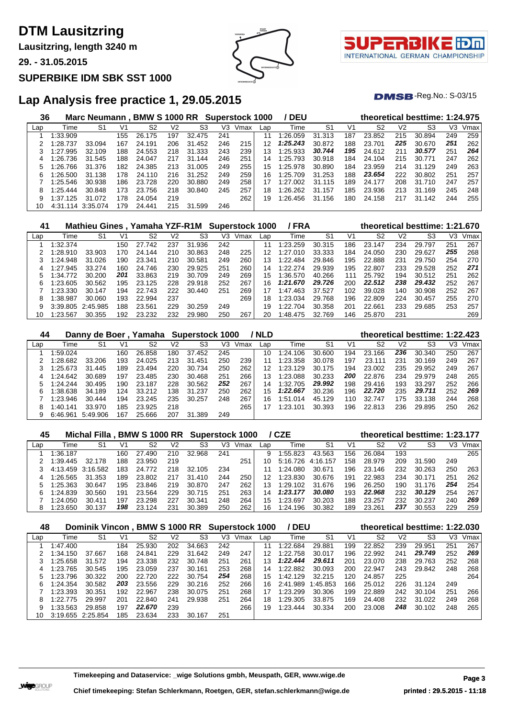**Lausitzring, length 3240 m**

**29. - 31.05.2015**

#### **SUPERBIKE IDM SBK SST 1000**



τl INTERNATIONAL GERMAN CHAMPIONSHIP

 $DMSB$ -Reg.No.:  $S-03/15$ 

## **Lap Analysis free practice 1, 29.05.2015**

| 36  |                   | Marc Neumann, BMW S 1000 RR Superstock 1000 |     |        |     |        |     |      |     | / DEU    |                |     |        |     | theoretical besttime: 1:24.975 |     |      |
|-----|-------------------|---------------------------------------------|-----|--------|-----|--------|-----|------|-----|----------|----------------|-----|--------|-----|--------------------------------|-----|------|
| Lap | Time              | S1                                          | V1  | S2     | V2  | S3     | V3  | Vmax | Lap | Time     | S <sub>1</sub> | V1  | S2     | V2  | S <sub>3</sub>                 | V3  | Vmax |
|     | 1:33.909          |                                             | 155 | 26.175 | 197 | 32.475 | 241 |      | 11  | 1:26.059 | 31.313         | 187 | 23.852 | 215 | 30.894                         | 249 | 259  |
|     | 1:28.737          | 33.094                                      | 167 | 24.191 | 206 | 31.452 | 246 | 215  | 12  | 1:25.243 | 30.872         | 188 | 23.701 | 225 | 30.670                         | 251 | 262  |
|     | 1:27.995          | 32.109                                      | 188 | 24.553 | 218 | 31.333 | 243 | 239  | 13. | 1:25.933 | 30.744         | 195 | 24.612 | 211 | 30.577                         | 251 | 264  |
| 4   | 1:26.736          | 31.545                                      | 188 | 24.047 | 217 | 31.144 | 246 | 251  | 14  | 1:25.793 | 30.918         | 184 | 24.104 | 215 | 30.771                         | 247 | 262  |
| 5   | 1:26.766          | 31.376                                      | 182 | 24.385 | 213 | 31.005 | 249 | 255  | 15  | 1:25.978 | 30.890         | 184 | 23.959 | 214 | 31.129                         | 249 | 263  |
| 6   | 1:26.500          | 31.138                                      | 178 | 24.110 | 216 | 31.252 | 249 | 259  | 16. | 1:25.709 | 31.253         | 188 | 23.654 | 222 | 30.802                         | 251 | 257  |
|     | 1:25.546          | 30.938                                      | 186 | 23.728 | 220 | 30.880 | 249 | 258  |     | 1:27.002 | 31.115         | 189 | 24.177 | 208 | 31.710                         | 247 | 257  |
| 8   | 1:25.444          | 30.848                                      | 173 | 23.756 | 218 | 30.840 | 245 | 257  | 18  | 1:26.262 | 31.157         | 185 | 23.936 | 213 | 31<br>.169                     | 245 | 248  |
| 9   | 1:37.125          | 31.072                                      | 178 | 24.054 | 219 |        |     | 262  | 19  | 1:26.456 | 31.156         | 180 | 24.158 | 217 | 31<br>.142                     | 244 | 255  |
| 10  | 4:31.114 3:35.074 |                                             | 179 | 24.441 | 215 | 31.599 | 246 |      |     |          |                |     |        |     |                                |     |      |

| 41  |          |          |     | Mathieu Gines, Yamaha YZF-R1M Superstock 1000 |     |                |     |      |     | / FRA         |        |     |                |     | theoretical besttime: 1:21.670 |     |      |
|-----|----------|----------|-----|-----------------------------------------------|-----|----------------|-----|------|-----|---------------|--------|-----|----------------|-----|--------------------------------|-----|------|
| Lap | Time     | S1       | V1  | S2                                            | V2  | S <sub>3</sub> | V3  | Vmax | Lap | Time          | S1     | V1  | S <sub>2</sub> | V2  | S <sub>3</sub>                 | V3  | Vmax |
|     | :32.374  |          | 150 | 27<br>742                                     | 237 | 31<br>.936     | 242 |      | 11  | 1:23.259      | 30.315 | 186 | 23.147         | 234 | 29.797                         | 251 | 267  |
|     | :28.910  | 33.903   | 170 | 24.<br>144                                    | 210 | 30.863         | 248 | 225  | 12  | 1:27<br>.010  | 33.333 | 184 | 24.050         | 230 | 29.627                         | 255 | 268  |
|     | 1:24.948 | 31.026   | 190 | 23.341                                        | 210 | 30.581         | 249 | 260  | 13  | 1:22.484      | 29.846 | 195 | 22.888         | 231 | 29.750                         | 254 | 270  |
| 4   | 1:27.945 | 33.274   | 160 | 24.746                                        | 230 | 29.925         | 251 | 260  | 14  | 1.22 274      | 29.939 | 195 | 22.807         | 233 | 29.528                         | 252 | 271  |
|     | :34.772  | 30.200   | 201 | 33.863                                        | 219 | 30.709         | 249 | 269  | 15  | 1:36.570      | 40.266 | 111 | 25.792         | 194 | 30.512                         | 251 | 262  |
| 6   | :23.605  | 30.562   | 195 | 23.125                                        | 228 | 29.918         | 252 | 267  | 16  | 1:21.670      | 29.726 | 200 | 22.512         | 238 | 29.432                         | 252 | 267  |
|     | 1:23.330 | 30.147   | 194 | 22.743                                        | 222 | 30.440         | 251 | 269  |     | 1:47<br>463   | 37.527 | 102 | 39.028         | 140 | 30.908                         | 252 | 267  |
| 8   | :38.987  | 30.060   | 193 | 22.994                                        | 237 |                |     | 269  | 18. | 1:23.034      | 29.768 | 196 | 22.809         | 224 | 30.457                         | 255 | 270  |
| 9   | 3:39.805 | 2.45.985 | 188 | 23.561                                        | 229 | 30.259         | 249 |      | 19  | 1:22.<br>.704 | 30.358 | 201 | 22.661         | 233 | 29.685                         | 253 | 257  |
| 10  | 1:23.567 | 30.355   | 192 | 23.232                                        | 232 | 29.980         | 250 | 267  | 20  | 1:48.475      | 32.769 | 146 | 25.870         | 231 |                                |     | 269  |

| 44  |          |          |     | Danny de Boer, Yamaha Superstock 1000 |     |             |     |      | / NLD |          |        |     | theoretical besttime: 1:22.423 |     |        |     |      |
|-----|----------|----------|-----|---------------------------------------|-----|-------------|-----|------|-------|----------|--------|-----|--------------------------------|-----|--------|-----|------|
| Lap | Time     | S1       | V1  | S2                                    | V2  | S3          | V3  | Vmax | Lap   | Time     | S1     | V1  | S2                             | V2  | S3     | VЗ  | Vmax |
|     | 1:59.024 |          | 160 | 26.858                                | 180 | 37.452      | 245 |      | 10    | 1:24.106 | 30.600 | 194 | 23.166                         | 236 | 30.340 | 250 | 267  |
|     | 1:28.682 | 33.206   | 193 | 24.025                                | 213 | 31<br>.451  | 250 | 239  | 11    | 1:23.358 | 30.078 | 197 | 23.111                         | 231 | 30.169 | 249 | 267  |
|     | 1:25.673 | 31.445   | 189 | 23.494                                | 220 | 30.734      | 250 | 262  | 12    | 1:23.129 | 30.175 | 194 | 23.002                         | 235 | 29.952 | 249 | 267  |
|     | 1:24.642 | 30.689   | 197 | 23.485                                | 230 | 30.468      | 251 | 266  | 13    | 1:23.088 | 30.233 | 200 | 22.876                         | 234 | 29.979 | 248 | 265  |
|     | 1:24.244 | 30.495   | 190 | 23.187                                | 228 | 30.562      | 252 | 267  | 14    | 1:32.705 | 29.992 | 198 | 29.416                         | 193 | 33.297 | 252 | 266  |
| 6   | 1:38.638 | 34.189   | 124 | 33.212                                | 138 | 31.237      | 250 | 262  | 15    | 1:22.667 | 30.236 | 196 | 22.720                         | 235 | 29.711 | 252 | 269  |
|     | 1:23.946 | 30.444   | 194 | 23.245                                | 235 | 30.257      | 248 | 267  | 16    | 1:51.014 | 45.129 | 110 | 32.747                         | 175 | 33.138 | 244 | 268  |
| 8   | 1:40.141 | 33.970   | 185 | 23.925                                | 218 |             |     | 265  |       | 1:23.101 | 30.393 | 196 | 22.813                         | 236 | 29.895 | 250 | 262  |
| 9   | 6:46.961 | 5:49.906 | 167 | 25.666                                | 207 | .389<br>31. | 249 |      |       |          |        |     |                                |     |        |     |      |

| 45  |          | Michal Filla . |      | . BMW S 1000 RR |                | <b>Superstock 1000</b> |     |      |     | / CZE    |          |     | theoretical besttime: 1:23.177 |     |        |     |      |
|-----|----------|----------------|------|-----------------|----------------|------------------------|-----|------|-----|----------|----------|-----|--------------------------------|-----|--------|-----|------|
| Lap | Time     | S1             | V1   | S2              | V <sub>2</sub> | S3                     | V3  | Vmax | Lap | Time     | S1       | V1  | S2                             | V2  | S3     | VЗ  | Vmax |
|     | 1:36.187 |                | 160. | 27.490          | 210            | 32.968                 | 241 |      | 9   | :55.823  | 43.563   | 156 | 26.084                         | 193 |        |     | 265  |
|     | 1:39.445 | 32.178         | 188  | 23.950          | 219            |                        |     | 251  | 10  | 5:16.726 | 4:16.157 | 158 | 28.979                         | 209 | 31.590 | 249 |      |
|     | 4:13.459 | 3:16.582       | 183  | 24.772          | 218            | 32.105                 | 234 |      |     | 1:24.080 | 30.671   | 196 | 23.146                         | 232 | 30.263 | 250 | 263  |
| 4   | 1:26.565 | 31.353         | 189  | 23.802          | 217            | 31<br>.410             | 244 | 250  | 12  | 1:23.830 | 30.676   | 191 | 22.983                         | 234 | 30.171 | 251 | 262  |
|     | 1:25.363 | 30.647         | 195  | 23.846          | 219            | 30.870                 | 247 | 262  | 13  | 1:29.102 | 31.676   | 196 | 26,250                         | 190 | 31.176 | 254 | 254  |
| h.  | 1:24.839 | 30.560         | 191  | 23.564          | 229            | 30.715                 | 251 | 263  | 14  | 1:23.177 | 30.080   | 193 | 22.968                         | 232 | 30.129 | 254 | 267  |
|     | 1:24.050 | 30.411         | 197  | 23.298          | 227            | 30.<br>.341            | 248 | 264  | 15  | :23.697  | 30.203   | 188 | 23.257                         | 232 | 30.237 | 240 | 269  |
| 8   | 1:23.650 | 30.137         | 198  | 124             | 231            | .389<br>30.            | 250 | 262  | 16  | :24.196  | 30.382   | 189 | 23.261                         | 237 | 30.553 | 229 | 259  |

| 48  |          | Dominik Vincon, BMW S 1000 RR |     |        |     |        | <b>Superstock 1000</b> |      |                 | / DEU    |         |     |        |                | theoretical besttime: 1:22.030 |     |      |
|-----|----------|-------------------------------|-----|--------|-----|--------|------------------------|------|-----------------|----------|---------|-----|--------|----------------|--------------------------------|-----|------|
| Lap | Time     | S1                            | V1  | S2     | V2  | S3     | V3                     | Vmax | Lap             | Time     | S1      | V1  | S2     | V <sub>2</sub> | S3                             | V3  | Vmax |
|     | 1:47.400 |                               | 184 | 25.930 | 202 | 34.663 | 242                    |      | 11              | 1:22.684 | 29.881  | 199 | 22.852 | 239            | 29.951                         | 251 | 267  |
|     | 1:34.150 | 37.667                        | 168 | 24.841 | 229 | 31.642 | 249                    | 247  | 12 <sup>2</sup> | 1:22.758 | 30.017  | 196 | 22.992 | 241            | 29.749                         | 252 | 269  |
|     | 1:25.658 | 31.572                        | 194 | 23.338 | 232 | 30.748 | 251                    | 261  | 13              | 1:22.444 | 29.611  | 201 | 23.070 | 238            | 29.763                         | 252 | 268  |
| 4   | 1:23.765 | 30.545                        | 195 | 23.059 | 237 | 30.161 | 253                    | 268  | 14              | 1:22.882 | 30.093  | 200 | 22.947 | 243            | 29.842                         | 248 | 268  |
|     | 1:23.796 | 30.322                        | 200 | 22.720 | 222 | 30.754 | 254                    | 268  | 15              | 1:42.129 | 32.215  | 120 | 24.857 | 225            |                                |     | 264  |
| 6   | 1:24.354 | 30.582                        | 203 | 23.556 | 229 | 30.216 | 252                    | 266  | 16.             | 2.41.989 | :45.853 | 166 | 25.012 | 226            | 31.124                         | 249 |      |
|     | 1:23.393 | 30.351                        | 192 | 22.967 | 238 | 30.075 | 251                    | 268  |                 | 1:23.299 | 30.306  | 199 | 22.889 | 242            | 30.104                         | 251 | 266  |
| 8   | 1:22.775 | 29.997                        | 201 | 22.840 | 241 | 29.938 | 251                    | 264  | 18              | 1:29.305 | 33.875  | 169 | 24.408 | 232            | 31.022                         | 249 | 268  |
|     | 1:33.563 | 29.858                        | 197 | 22.670 | 239 |        |                        | 266  | 19              | 1:23.444 | 30.334  | 200 | 23.008 | 248            | 30.102                         | 248 | 265  |
| 10  | 3:19.655 | 2:25.854                      | 185 | 23.634 | 233 | 30.167 | 251                    |      |                 |          |         |     |        |                |                                |     |      |

**Timekeeping and Dataservice: \_wige Solutions gmbh, Meuspath, GER, www.wige.de Page 3**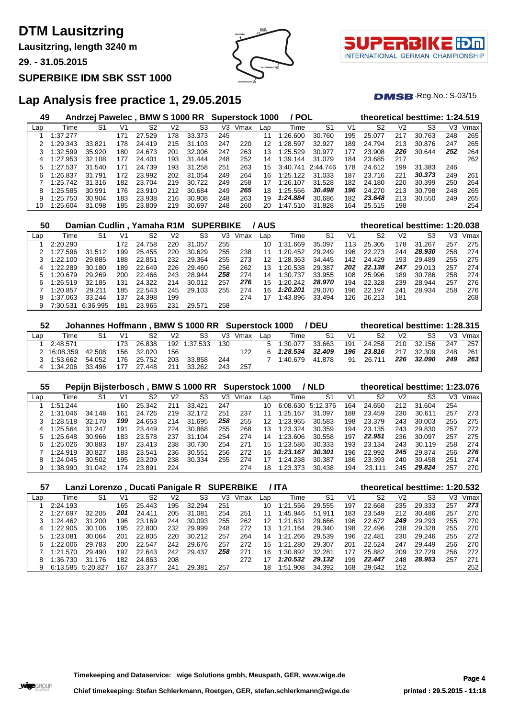**Lausitzring, length 3240 m**

**29. - 31.05.2015**

#### **SUPERBIKE IDM SBK SST 1000**





 $DMSB$ -Reg.No.:  $S-03/15$ 

## **Lap Analysis free practice 1, 29.05.2015**

| 49  |             | Andrzej Pawelec, |     | <b>BMW S 1000 RR</b> |     |            |     | <b>Superstock 1000</b> |     | / POL    |          |     |        |                | theoretical besttime: 1:24.519 |     |      |
|-----|-------------|------------------|-----|----------------------|-----|------------|-----|------------------------|-----|----------|----------|-----|--------|----------------|--------------------------------|-----|------|
| Lap | Time        | S1               | V1  | S2                   | V2  | S3         | V3  | Vmax                   | Lap | Time     | S1       | V1  | S2     | V <sub>2</sub> | S3                             | V3  | Vmax |
|     | 1:37.277    |                  | 171 | .529<br>27           | 178 | 33.373     | 245 |                        | 11  | 1:26.600 | 30.760   | 195 | 25.077 | 217            | 763<br>30                      | 248 | 265  |
|     | :29.343     | 33.821           | 178 | 24.419               | 215 | .103<br>31 | 247 | 220                    | 12  | 1:28.597 | 32.927   | 189 | 24.794 | 213            | 30.876                         | 247 | 265  |
|     | :32.599     | 35.920           | 180 | 24.673               | 201 | 32.006     | 247 | 263                    | 13  | 1:25.529 | 30.977   | 177 | 23.908 | 226            | 30.644                         | 252 | 264  |
| 4   | 1:27.953    | 32.108           | 177 | 24.401               | 193 | 31<br>.444 | 248 | 252                    | 14  | 1:39.144 | 31.079   | 184 | 23.685 | 217            |                                |     | 262  |
| 5   | 537:<br>.27 | 31.540           | 171 | 24.739               | 193 | .258<br>31 | 251 | 263                    | 15  | 3:40.741 | 2.44.746 | 178 | 24.612 | 199            | 31.383                         | 246 |      |
| 6   | 1:26.837    | .791<br>31.      | 172 | 23.992               | 202 | .054<br>31 | 249 | 264                    | 16  | 1:25.122 | 31.033   | 187 | 23.716 | 221            | 30.373                         | 249 | 261  |
|     | 1:25.742    | 31.316           | 182 | 23.704               | 219 | 722<br>30. | 249 | 258                    |     | 1:26.107 | 31.528   | 182 | 24.180 | 220            | 30.399                         | 250 | 264  |
| 8   | 1:25.585    | 30.991           | 176 | 23.910               | 212 | 30.684     | 249 | 265                    | 18  | 1:25.566 | 30.498   | 196 | 24.270 | 213            | 30.798                         | 248 | 265  |
| 9   | 1:25.750    | 30.904           | 183 | 23.938               | 216 | 30.908     | 248 | 263                    | 19  | 1:24.884 | 30.686   | 182 | 23.648 | 213            | 30.550                         | 249 | 265  |
| 10  | 1:25.604    | 31.098           | 185 | 23.809               | 219 | 30.697     | 248 | 260                    | 20  | 1:47.510 | 31.828   | 164 | 25.515 | 198            |                                |     | 254  |

| 50  |          | Damian Cudlin, Yamaha R1M SUPERBIKE |                |        |     |        |     |      | / AUS |               |        |     |        |     | theoretical besttime: 1:20.038 |     |      |
|-----|----------|-------------------------------------|----------------|--------|-----|--------|-----|------|-------|---------------|--------|-----|--------|-----|--------------------------------|-----|------|
| Lap | Time     | S1                                  | V <sup>1</sup> | S2     | V2  | S3     | V3  | Vmax | Lap   | Time          | S1     | V1  | S2     | V2  | S3                             | VЗ  | Vmax |
|     | 2:20.290 |                                     | 172            | 24.758 | 220 | 31.057 | 255 |      | 10    | 1:31.669      | 35.097 | 113 | 25.305 | 178 | 31.267                         | 257 | 275  |
|     | 1:27.596 | 31.512                              | 199            | 25.455 | 220 | 30.629 | 255 | 238  | 11    | 1:20.452      | 29.249 | 196 | 22.273 | 244 | 28.930                         | 258 | 274  |
|     | 1:22.100 | 29.885                              | 188            | 22.851 | 232 | 29.364 | 255 | 273  | 12    | 1:28.363      | 34.445 | 142 | 24.429 | 193 | 29.489                         | 255 | 275  |
| 4   | 1:22.289 | 30.180                              | 189            | 22.649 | 226 | 29.460 | 256 | 262  | 13    | 1:20.538      | 29.387 | 202 | 22.138 | 247 | 29.013                         | 257 | 274  |
|     | 1:20.679 | 29.269                              | 200            | 22.466 | 243 | 28.944 | 258 | 274  | 14    | 1:30.<br>.737 | 33.955 | 108 | 25.996 | 189 | 30.786                         | 258 | 274  |
| 6   | 1:26.519 | 32.185                              | 131            | 24.322 | 214 | 30.012 | 257 | 276  | 15    | 1:20.242      | 28.970 | 194 | 22.328 | 239 | 28.944                         | 257 | 276  |
|     | 1:20.857 | 29.211                              | 185            | 22.543 | 245 | 29.103 | 255 | 274  | 16    | 1:20.201      | 29.070 | 196 | 22.197 | 241 | 28.934                         | 258 | 276  |
| 8   | 1:37.063 | 33.244                              | 137            | 24.398 | 199 |        |     | 274  |       | 1:43.896      | 33.494 | 126 | 26.213 | 181 |                                |     | 268  |
| 9   | 7:30.531 | 6:36.995                            | 181            | 23.965 | 231 | 29.571 | 258 |      |       |               |        |     |        |     |                                |     |      |

| 52  |             |        |     |            |                | Johannes Hoffmann, BMW S 1000 RR Superstock 1000 |     |         |     |          | / DEU  |                |        |                | theoretical besttime: 1:28.315 |     |      |
|-----|-------------|--------|-----|------------|----------------|--------------------------------------------------|-----|---------|-----|----------|--------|----------------|--------|----------------|--------------------------------|-----|------|
| ∟ap | Time        | S1     | V1  | S2         | V <sub>2</sub> | S3                                               |     | V3 Vmax | Lap | Time     | -S1    | V <sub>1</sub> | S2     | V <sub>2</sub> | S3                             | V3  | Vmax |
|     | 2:48.571    |        | 173 | 26.838     |                | 192 1:37.533                                     | 130 |         | 5   | 1:30.077 | 33.663 | 191            | 24.258 | 210            | 32.156                         | 247 | 257  |
|     | 2 16:08.359 | 42.508 |     | 156 32.020 | 156            |                                                  |     | 122     |     | 1:28.534 | 32.409 | 196            | 23.816 | 217            | 32.309                         | 248 | 261  |
|     | 1:53.662    | 54.052 | 176 | 25.752     | 203            | 33.858                                           | 244 |         |     | 1:40.679 | 41.878 | 91             | 26.711 | 226            | 32.090                         | 249 | 263  |
|     | 1:34.206    | 33.496 |     | 27.448     | 211            | 33.262                                           | 243 | 257     |     |          |        |                |        |                |                                |     |      |

| 55  |          |        |     |        |     | Pepijn Bijsterbosch, BMW S 1000 RR Superstock 1000 |     |      |     |          | / NLD    |     | theoretical besttime: 1:23.076 |     |        |                |      |
|-----|----------|--------|-----|--------|-----|----------------------------------------------------|-----|------|-----|----------|----------|-----|--------------------------------|-----|--------|----------------|------|
| Lap | Time     | S1     | V1  | S2     | V2  | S3                                                 | V3. | Vmax | Lap | Time     | S1       | V1  | S2                             | V2  | S3     | V <sub>3</sub> | Vmax |
|     | 1:51.244 |        | 160 | 25.342 | 211 | 33.421                                             | 247 |      | 10  | 6:08.630 | 5:12.376 | 164 | 24.650                         | 212 | 31.604 | 254            |      |
|     | 1:31.046 | 34.148 | 161 | 24.726 | 219 | 32.172                                             | 251 | 237  |     | 1:25.167 | 31.097   | 188 | 23.459                         | 230 | 30.611 | 257            | 273  |
|     | 1:28.518 | 32.170 | 199 | 24.653 | 214 | 31.695                                             | 258 | 255  | 12  | 1:23.965 | 30.583   | 198 | 23.379                         | 243 | 30.003 | 255            | 275  |
|     | 1:25.564 | 31.247 | 191 | 23.449 | 224 | 30.868                                             | 255 | 268  | 13  | 1:23.324 | 30.359   | 194 | 23.135                         | 243 | 29.830 | 257            | 272  |
|     | 1:25.648 | 30.966 | 183 | 23.578 | 237 | 31.104                                             | 254 | 274  | 14  | 1:23.606 | 30.558   | 197 | 22.951                         | 236 | 30.097 | 257            | 275  |
| 6   | 1:25.026 | 30.883 | 187 | 23.413 | 238 | 30.730                                             | 254 | 271  | 15  | 1:23.586 | 30.333   | 193 | 23.134                         | 243 | 30.119 | 258            | 274  |
|     | 1:24.919 | 30.827 | 183 | 23.541 | 236 | 30.551                                             | 256 | 272  | 16  | 1:23.167 | 30.301   | 196 | 22.992                         | 245 | 29.874 | 256            | 276  |
|     | 1:24.045 | 30.502 | 195 | 23.209 | 238 | 30.334                                             | 255 | 274  | 17  | 1:24.238 | 30.387   | 186 | 23.393                         | 240 | 30.458 | 251            | 274  |
|     | 1:38.990 | 31.042 | 174 | 23.891 | 224 |                                                    |     | 274  | 18  | 1:23.373 | 30.438   | 194 | 23.111                         | 245 | 29.824 | 257            | 270  |

| 57  |          | Lanzi Lorenzo, Ducati Panigale R SUPERBIKE |     |        |     |        |     |      |                  | / ITA        |        |     |        |     | theoretical besttime: 1:20.532 |     |      |
|-----|----------|--------------------------------------------|-----|--------|-----|--------|-----|------|------------------|--------------|--------|-----|--------|-----|--------------------------------|-----|------|
| Lap | Time     | S1                                         | V1  | S2     | V2  | S3     | V3  | Vmax | Lap              | Time         | S1     | V1  | S2     | V2  | S3                             | V3  | Vmax |
|     | 2:24.193 |                                            | 165 | 25.443 | 195 | 32.294 | 251 |      | 10               | 1:21<br>.556 | 29.555 | 197 | 22.668 | 235 | 29.333                         | 257 | 273  |
|     | 1:27.697 | 32.205                                     | 201 | 24.411 | 205 | 31.081 | 254 | 251  |                  | 1:45.946     | 51.911 | 183 | 23.549 | 212 | 30.486                         | 257 | 270  |
|     | 1:24.462 | 31.200                                     | 196 | 23.169 | 244 | 30.093 | 255 | 262  | 12               | 1:21.631     | 29.666 | 196 | 22.672 | 249 | 29.293                         | 255 | 270  |
| 4   | 1:22.905 | 30.106                                     | 195 | 22.800 | 232 | 29.999 | 248 | 272  | 13 <sup>13</sup> | .164<br>1:21 | 29.340 | 198 | 22.496 | 238 | 29.328                         | 255 | 270  |
|     | :23.081  | 30.064                                     | 201 | 22.805 | 220 | 30.212 | 257 | 264  | 14               | .266<br>1:21 | 29.539 | 196 | 22.481 | 230 | 29.246                         | 255 | 272  |
| 6   | 1:22.006 | 29.783                                     | 200 | 22.547 | 242 | 29.676 | 257 | 272  | 15               | .280<br>1:21 | 29.307 | 201 | 22.524 | 247 | 29.449                         | 256 | 270  |
|     | 1:21.570 | 29.490                                     | 197 | 22.643 | 242 | 29.437 | 258 | 271  | 16               | 1:30.892     | 32.281 | 177 | 25.882 | 209 | 32.729                         | 256 | 272  |
|     | :36.730  | 31.176                                     | 182 | 24.863 | 208 |        |     | 272  |                  | 1:20.532     | 29.132 | 199 | 22.447 | 248 | 28.953                         | 257 | 271  |
| 9   | 6:13.585 | 5:20.827                                   | 167 | 23.377 | 241 | 29.381 | 257 |      | 18               | 1:51.908     | 34.392 | 168 | 29.642 | 152 |                                |     | 252  |

**Timekeeping and Dataservice: \_wige Solutions gmbh, Meuspath, GER, www.wige.de Page 4**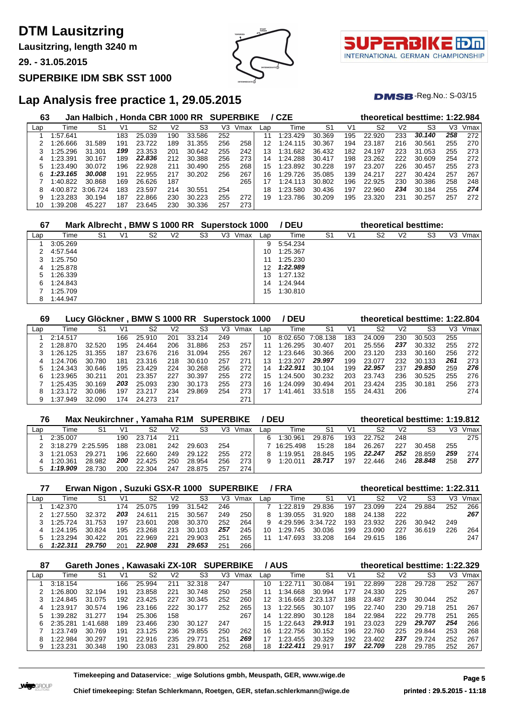**Lausitzring, length 3240 m**

**29. - 31.05.2015**

#### **SUPERBIKE IDM SBK SST 1000**





 $DMSB$ -Reg.No.:  $S-03/15$ 

## **Lap Analysis free practice 1, 29.05.2015**

| 63  |          | Jan Halbich, Honda CBR 1000 RR SUPERBIKE |     |        |     |        |     |      |     | / CZE    |        |     |        |                | theoretical besttime: 1:22.984 |     |      |
|-----|----------|------------------------------------------|-----|--------|-----|--------|-----|------|-----|----------|--------|-----|--------|----------------|--------------------------------|-----|------|
| Lap | Time     | S1                                       | V1  | S2     | V2  | S3     | V3  | Vmax | Lap | Time     | S1     | V1  | S2     | V <sub>2</sub> | S3                             | VЗ  | Vmax |
|     | 1:57.641 |                                          | 183 | 25.039 | 190 | 33.586 | 252 |      |     | 1:23.429 | 30.369 | 195 | 22.920 | 233            | 30.140                         | 258 | 272  |
|     | 1:26.666 | 31.589                                   | 191 | 23.722 | 189 | 31.355 | 256 | 258  | 12  | 1:24.115 | 30.367 | 194 | 23.187 | 216            | 30.561                         | 255 | 270  |
|     | 1:25.296 | 31.301                                   | 199 | 23.353 | 201 | 30.642 | 255 | 242  | 13  | 1:31.682 | 36.432 | 182 | 24.197 | 223            | 31.053                         | 255 | 273  |
|     | 1:23.391 | 30.167                                   | 189 | 22.836 | 212 | 30.388 | 256 | 273  | 14  | 1:24.288 | 30.417 | 198 | 23.262 | 222            | 30.609                         | 254 | 272  |
|     | 1:23.490 | 30.072                                   | 196 | 22.928 | 211 | 30.490 | 255 | 268  | 15  | 1:23.892 | 30.228 | 197 | 23.207 | 226            | 30.457                         | 255 | 273  |
| 6   | 1:23.165 | 30.008                                   | 191 | 22.955 | 217 | 30.202 | 256 | 267  | 16  | 1:29.726 | 35.085 | 139 | 24.217 | 227            | 30.424                         | 257 | 267  |
|     | 1:40.822 | 30.868                                   | 169 | 26.626 | 187 |        |     | 265  | 17  | 1:24.113 | 30.802 | 196 | 22.925 | 230            | 30.386                         | 258 | 248  |
|     | 4:00.872 | 3:06.724                                 | 183 | 23.597 | 214 | 30.551 | 254 |      | 18  | 1:23.580 | 30.436 | 197 | 22.960 | 234            | 30.184                         | 255 | 274  |
|     | 1:23.283 | 30.194                                   | 187 | 22.866 | 230 | 30.223 | 255 | 272  | 19  | 1:23.786 | 30.209 | 195 | 23.320 | 231            | 30.257                         | 257 | 272  |
| 10  | 1:39.208 | 45.227                                   | 187 | 23.645 | 230 | 30.336 | 257 | 273  |     |          |        |     |        |                |                                |     |      |

| 67  |          |    |    | Mark Albrecht, BMW S 1000 RR Superstock 1000 |    |                |    |      |     | / DEU    |    |    | theoretical besttime: |    |    |    |      |
|-----|----------|----|----|----------------------------------------------|----|----------------|----|------|-----|----------|----|----|-----------------------|----|----|----|------|
| Lap | Time     | S1 | V1 | S2                                           | V2 | S <sub>3</sub> | V3 | Vmax | Lap | Time     | S1 | V1 | S2                    | V2 | S3 | V3 | Vmax |
|     | 3:05.269 |    |    |                                              |    |                |    |      | 9   | 5:54.234 |    |    |                       |    |    |    |      |
|     | 4:57.544 |    |    |                                              |    |                |    |      | 10  | 1:25.367 |    |    |                       |    |    |    |      |
|     | 1:25.750 |    |    |                                              |    |                |    |      | 11  | 1:25.230 |    |    |                       |    |    |    |      |
| 4   | 1:25.878 |    |    |                                              |    |                |    |      | 12  | 1:22.989 |    |    |                       |    |    |    |      |
| 5   | 1:26.339 |    |    |                                              |    |                |    |      | 13  | 1:27.132 |    |    |                       |    |    |    |      |
| 6   | 1:24.843 |    |    |                                              |    |                |    |      | 14  | 1:24.944 |    |    |                       |    |    |    |      |
|     | 1:25.709 |    |    |                                              |    |                |    |      | 15  | 1:30.810 |    |    |                       |    |    |    |      |
|     | 1:44.947 |    |    |                                              |    |                |    |      |     |          |    |    |                       |    |    |    |      |

| 69  |          | Lucy Glöckner |     | <b>BMW S 1000 RR</b> |     |        | Superstock 1000 |      |     | <b>DEU</b>   |          |     |                |                | theoretical besttime: 1:22.804 |     |      |
|-----|----------|---------------|-----|----------------------|-----|--------|-----------------|------|-----|--------------|----------|-----|----------------|----------------|--------------------------------|-----|------|
| Lap | Time     | S1            | V1  | S2                   | V2  | S3     | V3              | Vmax | Lap | Time         | S1       | V1  | S <sub>2</sub> | V <sub>2</sub> | S3                             | VЗ  | Vmax |
|     | 2:14.517 |               | 166 | 25.910               | 201 | 33.214 | 249             |      | 10  | 8:02.650     | 7:08.138 | 183 | 24.009         | 230            | 30.503                         | 255 |      |
|     | 1:28.870 | 32.520        | 195 | 24.464               | 206 | 31.886 | 253             | 257  |     | 1:26.295     | 30.407   | 201 | 25.556         | 237            | 30.332                         | 255 | 272  |
|     | 1:26.125 | 31.355        | 187 | 23.676               | 216 | 31.094 | 255             | 267  | 12  | 1:23.646     | 30.366   | 200 | 23.120         | 233            | 30.160                         | 256 | 272  |
| 4   | 1:24.706 | 30.780        | 181 | 23.316               | 218 | 30.610 | 257             | 271  | 13  | 1:23.207     | 29.997   | 199 | 23.077         | 232            | 30.133                         | 261 | 273  |
|     | 1:24.343 | 30.646        | 195 | 23.429               | 224 | 30.268 | 256             | 272  | 14  | 1:22.911     | 30.104   | 199 | 22.957         | 237            | 29.850                         | 259 | 276  |
| 6   | 1:23.965 | 30.211        | 201 | 23.357               | 227 | 30.397 | 255             | 272  | 15  | 1:24.500     | 30.232   | 203 | 23.743         | 236            | 30.525                         | 255 | 276  |
|     | 1:25.435 | 30.169        | 203 | 25.093               | 230 | 30.173 | 255             | 273  | 16  | 1:24.099     | 30.494   | 201 | 23.424         | 235            | 30.181                         | 256 | 273  |
| 8   | 1:23.172 | 30.086        | 197 | 23.217               | 234 | 29.869 | 254             | 273  | 17  | .461<br>1:41 | 33.518   | 155 | 24.431         | 206            |                                |     | 274  |
| 9   | 1:37.949 | 32.090        | 174 | 24.273               | 217 |        |                 | 271  |     |              |          |     |                |                |                                |     |      |

| 76  |                   | Max Neukirchner, Yamaha R1M SUPERBIKE / DEU |      |        |     |        |     |      |     |           |        |     |        |                | theoretical besttime: 1:19.812 |     |      |
|-----|-------------------|---------------------------------------------|------|--------|-----|--------|-----|------|-----|-----------|--------|-----|--------|----------------|--------------------------------|-----|------|
| Lap | Time              |                                             | V1   | S2     | V2  | S3     | V3. | Vmax | Lao | Time      | S1     | V1  | S2     | V <sub>2</sub> | S3                             | V3  | Vmax |
|     | 2:35.007          |                                             | 190. | 23.714 | 211 |        |     |      |     | 1:30.961  | 29.876 | 193 | 22.752 | 248            |                                |     | 275  |
|     | 3:18.279 2:25.595 |                                             | 188. | 23.081 | 242 | 29.603 | 254 |      |     | 16:25.498 | 15:28  | 184 | 26.267 | 227            | 30.458                         | 255 |      |
|     | 1:21.053          | 29.271                                      | 196  | 22.660 | 249 | 29.122 | 255 | 272  |     | 1:19.951  | 28.845 | 195 | 22.247 | 252            | 28.859                         | 259 | 274  |
|     | 1:20.361          | 28.982                                      | 200  | 22.425 | 250 | 28.954 | 256 | 273  |     | 1:20.011  | 28.717 | 197 | 22.446 | 246            | 28.848                         | 258 | 277  |
|     | 1:19.909          | 28.730                                      | 200  | 22.304 | 247 | 28.875 | 257 | 274  |     |           |        |     |        |                |                                |     |      |

|     | Erwan Nigon, Suzuki GSX-R 1000 SUPERBIKE / FRA |        |                |        |     |        |     |      |     |                   |        |     |        | theoretical besttime: 1:22.311 |        |     |      |  |  |
|-----|------------------------------------------------|--------|----------------|--------|-----|--------|-----|------|-----|-------------------|--------|-----|--------|--------------------------------|--------|-----|------|--|--|
| Lan | Time                                           | S1     | V <sub>1</sub> | S2     | V2  | S3     | V3  | Vmax | Lap | Time              | S1     | V1  | S2     | V <sub>2</sub>                 | S3     | VЗ  | Vmax |  |  |
|     | 1:42.370                                       |        | 174            | 25.075 | 199 | 31.542 | 246 |      |     | 1:22.819          | 29.836 | 197 | 23.099 | 224                            | 29.884 | 252 | 266  |  |  |
|     | 1:27.550                                       | 32.372 | 203            | 24.611 | 215 | 30.567 | 249 | 250  | 8.  | 1:39.055          | 31.920 | 188 | 24.138 | 222                            |        |     | 267  |  |  |
|     | 1:25.724                                       | 31.753 | 197            | 23.601 | 208 | 30.370 | 252 | 264  | 9.  | 4:29.596 3:34.722 |        | 193 | 23.932 | 226                            | 30.942 | 249 |      |  |  |
|     | 1:24.195                                       | 30.824 | 195            | 23.268 | 213 | 30.103 | 257 | 245  | 10  | 1:29.745          | 30.036 | 199 | 23.090 | 227                            | 36.619 | 226 | 264  |  |  |
|     | 1:23.294                                       | 30.422 | 201            | 22.969 | 221 | 29.903 | 251 | 265  |     | 1:47.693          | 33.208 | 164 | 29.615 | 186                            |        |     | 247  |  |  |
|     | 1:22.311                                       | 29.750 | 201            | 22.908 | 231 | 29.653 | 251 | 266  |     |                   |        |     |        |                                |        |     |      |  |  |

|     | Gareth Jones, Kawasaki ZX-10R SUPERBIKE<br>87 |          |     |        |     |        |     |      | theoretical besttime: 1:22.329<br>/ AUS |                   |        |     |        |     |        |     |      |
|-----|-----------------------------------------------|----------|-----|--------|-----|--------|-----|------|-----------------------------------------|-------------------|--------|-----|--------|-----|--------|-----|------|
| Lap | Time                                          | S1       | V1  | S2     | V2  | S3     | V3  | Vmax | Lap                                     | Time              | S1     | V1  | S2     | V2  | S3     | V3  | Vmax |
|     | 3:18.154                                      |          | 166 | 25.994 | 211 | 32.318 | 247 |      | 10                                      | 1:22.711          | 30.084 | 191 | 22.899 | 228 | 29.728 | 252 | 267  |
|     | 1:26.800                                      | 32.194   | 191 | 23.858 | 221 | 30.748 | 250 | 258  | 11                                      | 1:34.668          | 30.994 | 177 | 24.330 | 225 |        |     | 267  |
|     | 1:24.845                                      | 31.075   | 192 | 23.425 | 227 | 30.345 | 252 | 260  | 12.                                     | 3:16.668 2:23.137 |        | 188 | 23.487 | 229 | 30.044 | 252 |      |
| 4   | 1:23.917                                      | 30.574   | 196 | 23.166 | 222 | 30.177 | 252 | 265  | 13                                      | 1:22.565          | 30.107 | 195 | 22.740 | 230 | 29.718 | 251 | 267  |
|     | 1:39.282                                      | 31.277   | 194 | 25.306 | 158 |        |     | 267  | 14                                      | 1:22.890          | 30.128 | 184 | 22.984 | 222 | 29.778 | 251 | 265  |
| հ   | 2:35.281                                      | 1:41.688 | 189 | 23.466 | 230 | 30.127 | 247 |      | 15                                      | 1:22.643          | 29.913 | 191 | 23.023 | 229 | 29.707 | 254 | 266  |
|     | 1:23.749                                      | 30.769   | 191 | 23.125 | 236 | 29.855 | 250 | 262  | 16                                      | 1:22.756          | 30.152 | 196 | 22.760 | 225 | 29.844 | 253 | 268  |
| 8   | 1:22.984                                      | 30.297   | 191 | 22.916 | 235 | 29.771 | 251 | 269  | 17                                      | 1:23.455          | 30.329 | 192 | 23.402 | 237 | 29.724 | 252 | 267  |
| 9   | 1:23.231                                      | 30.348   | 190 | 23.083 | 231 | 29,800 | 252 | 268  | 18                                      | 1:22.411          | 29.917 | 197 | 22.709 | 228 | 29.785 | 252 | 267  |

**Timekeeping and Dataservice: \_wige Solutions gmbh, Meuspath, GER, www.wige.de Page 5**